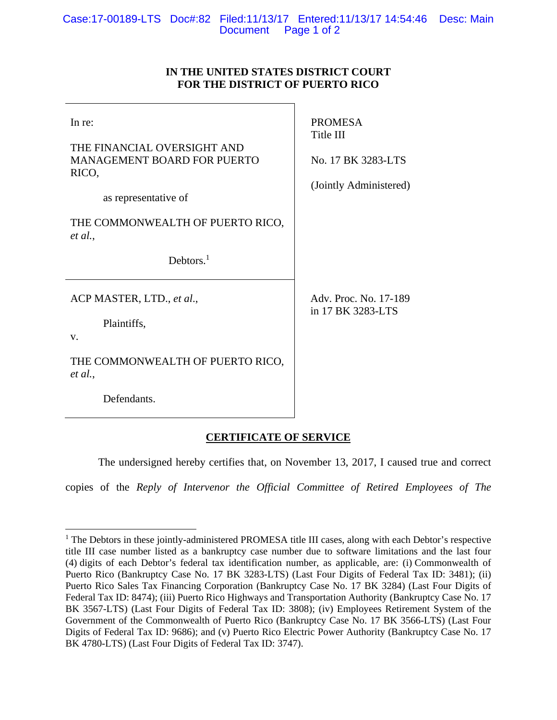## **IN THE UNITED STATES DISTRICT COURT FOR THE DISTRICT OF PUERTO RICO**

| In re:<br>THE FINANCIAL OVERSIGHT AND<br><b>MANAGEMENT BOARD FOR PUERTO</b><br>RICO,<br>as representative of | <b>PROMESA</b><br>Title III<br>No. 17 BK 3283-LTS<br>(Jointly Administered) |
|--------------------------------------------------------------------------------------------------------------|-----------------------------------------------------------------------------|
| THE COMMONWEALTH OF PUERTO RICO,<br>et al.,                                                                  |                                                                             |
| Debtors. $1$                                                                                                 |                                                                             |
| ACP MASTER, LTD., et al.,<br>Plaintiffs,<br>$V_{\cdot}$                                                      | Adv. Proc. No. 17-189<br>in 17 BK 3283-LTS                                  |
| THE COMMONWEALTH OF PUERTO RICO,<br>et al.,                                                                  |                                                                             |
| Defendants.                                                                                                  |                                                                             |

## **CERTIFICATE OF SERVICE**

The undersigned hereby certifies that, on November 13, 2017, I caused true and correct

copies of the *Reply of Intervenor the Official Committee of Retired Employees of The*

 $\overline{a}$ <sup>1</sup> The Debtors in these jointly-administered PROMESA title III cases, along with each Debtor's respective title III case number listed as a bankruptcy case number due to software limitations and the last four (4) digits of each Debtor's federal tax identification number, as applicable, are: (i) Commonwealth of Puerto Rico (Bankruptcy Case No. 17 BK 3283-LTS) (Last Four Digits of Federal Tax ID: 3481); (ii) Puerto Rico Sales Tax Financing Corporation (Bankruptcy Case No. 17 BK 3284) (Last Four Digits of Federal Tax ID: 8474); (iii) Puerto Rico Highways and Transportation Authority (Bankruptcy Case No. 17 BK 3567-LTS) (Last Four Digits of Federal Tax ID: 3808); (iv) Employees Retirement System of the Government of the Commonwealth of Puerto Rico (Bankruptcy Case No. 17 BK 3566-LTS) (Last Four Digits of Federal Tax ID: 9686); and (v) Puerto Rico Electric Power Authority (Bankruptcy Case No. 17 BK 4780-LTS) (Last Four Digits of Federal Tax ID: 3747).